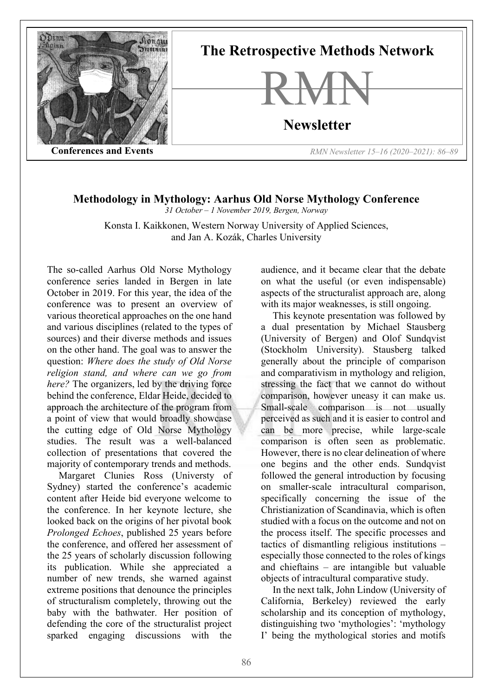

## **Methodology in Mythology: Aarhus Old Norse Mythology Conference**

*31 October – 1 November 2019, Bergen, Norway*

Konsta I. Kaikkonen, Western Norway University of Applied Sciences, and Jan A. Kozák, Charles University

The so-called Aarhus Old Norse Mythology conference series landed in Bergen in late October in 2019. For this year, the idea of the conference was to present an overview of various theoretical approaches on the one hand and various disciplines (related to the types of sources) and their diverse methods and issues on the other hand. The goal was to answer the question: *Where does the study of Old Norse religion stand, and where can we go from here?* The organizers, led by the driving force behind the conference, Eldar Heide, decided to approach the architecture of the program from a point of view that would broadly showcase the cutting edge of Old Norse Mythology studies. The result was a well-balanced collection of presentations that covered the majority of contemporary trends and methods.

Margaret Clunies Ross (Universty of Sydney) started the conference's academic content after Heide bid everyone welcome to the conference. In her keynote lecture, she looked back on the origins of her pivotal book *Prolonged Echoes*, published 25 years before the conference, and offered her assessment of the 25 years of scholarly discussion following its publication. While she appreciated a number of new trends, she warned against extreme positions that denounce the principles of structuralism completely, throwing out the baby with the bathwater. Her position of defending the core of the structuralist project sparked engaging discussions with the

audience, and it became clear that the debate on what the useful (or even indispensable) aspects of the structuralist approach are, along with its major weaknesses, is still ongoing.

This keynote presentation was followed by a dual presentation by Michael Stausberg (University of Bergen) and Olof Sundqvist (Stockholm University). Stausberg talked generally about the principle of comparison and comparativism in mythology and religion, stressing the fact that we cannot do without comparison, however uneasy it can make us. Small-scale comparison is not usually perceived as such and it is easier to control and can be more precise, while large-scale comparison is often seen as problematic. However, there is no clear delineation of where one begins and the other ends. Sundqvist followed the general introduction by focusing on smaller-scale intracultural comparison, specifically concerning the issue of the Christianization of Scandinavia, which is often studied with a focus on the outcome and not on the process itself. The specific processes and tactics of dismantling religious institutions – especially those connected to the roles of kings and chieftains – are intangible but valuable objects of intracultural comparative study.

In the next talk, John Lindow (University of California, Berkeley) reviewed the early scholarship and its conception of mythology, distinguishing two 'mythologies': 'mythology I' being the mythological stories and motifs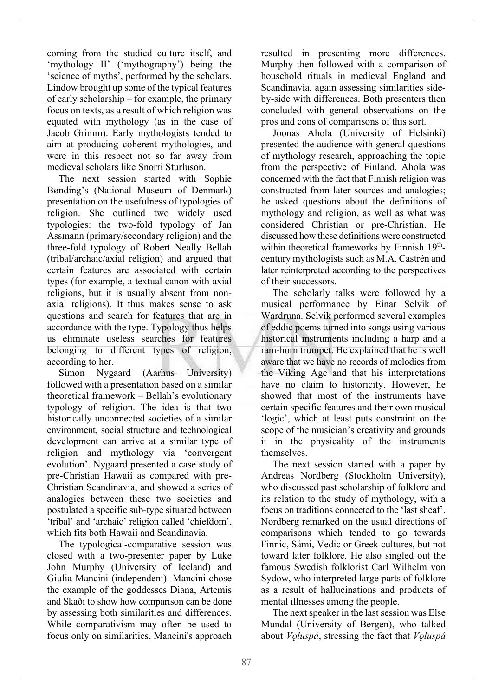coming from the studied culture itself, and 'mythology II' ('mythography') being the 'science of myths', performed by the scholars. Lindow brought up some of the typical features of early scholarship – for example, the primary focus on texts, as a result of which religion was equated with mythology (as in the case of Jacob Grimm). Early mythologists tended to aim at producing coherent mythologies, and were in this respect not so far away from medieval scholars like Snorri Sturluson.

The next session started with Sophie Bønding's (National Museum of Denmark) presentation on the usefulness of typologies of religion. She outlined two widely used typologies: the two-fold typology of Jan Assmann (primary/secondary religion) and the three-fold typology of Robert Neally Bellah (tribal/archaic/axial religion) and argued that certain features are associated with certain types (for example, a textual canon with axial religions, but it is usually absent from nonaxial religions). It thus makes sense to ask questions and search for features that are in accordance with the type. Typology thus helps us eliminate useless searches for features belonging to different types of religion, according to her.

Simon Nygaard (Aarhus University) followed with a presentation based on a similar theoretical framework – Bellah's evolutionary typology of religion. The idea is that two historically unconnected societies of a similar environment, social structure and technological development can arrive at a similar type of religion and mythology via 'convergent evolution'. Nygaard presented a case study of pre-Christian Hawaii as compared with pre-Christian Scandinavia, and showed a series of analogies between these two societies and postulated a specific sub-type situated between 'tribal' and 'archaic' religion called 'chiefdom', which fits both Hawaii and Scandinavia.

The typological-comparative session was closed with a two-presenter paper by Luke John Murphy (University of Iceland) and Giulia Mancini (independent). Mancini chose the example of the goddesses Diana, Artemis and Skaði to show how comparison can be done by assessing both similarities and differences. While comparativism may often be used to focus only on similarities, Mancini's approach

resulted in presenting more differences. Murphy then followed with a comparison of household rituals in medieval England and Scandinavia, again assessing similarities sideby-side with differences. Both presenters then concluded with general observations on the pros and cons of comparisons of this sort.

Joonas Ahola (University of Helsinki) presented the audience with general questions of mythology research, approaching the topic from the perspective of Finland. Ahola was concerned with the fact that Finnish religion was constructed from later sources and analogies; he asked questions about the definitions of mythology and religion, as well as what was considered Christian or pre-Christian. He discussed how these definitions were constructed within theoretical frameworks by Finnish 19<sup>th</sup>century mythologists such as M.A. Castrén and later reinterpreted according to the perspectives of their successors.

The scholarly talks were followed by a musical performance by Einar Selvik of Wardruna. Selvik performed several examples of eddic poems turned into songs using various historical instruments including a harp and a ram-horn trumpet. He explained that he is well aware that we have no records of melodies from the Viking Age and that his interpretations have no claim to historicity. However, he showed that most of the instruments have certain specific features and their own musical 'logic', which at least puts constraint on the scope of the musician's creativity and grounds it in the physicality of the instruments themselves.

The next session started with a paper by Andreas Nordberg (Stockholm University), who discussed past scholarship of folklore and its relation to the study of mythology, with a focus on traditions connected to the 'last sheaf'. Nordberg remarked on the usual directions of comparisons which tended to go towards Finnic, Sámi, Vedic or Greek cultures, but not toward later folklore. He also singled out the famous Swedish folklorist Carl Wilhelm von Sydow, who interpreted large parts of folklore as a result of hallucinations and products of mental illnesses among the people.

The next speaker in the last session was Else Mundal (University of Bergen), who talked about *Vǫluspá*, stressing the fact that *Vǫluspá*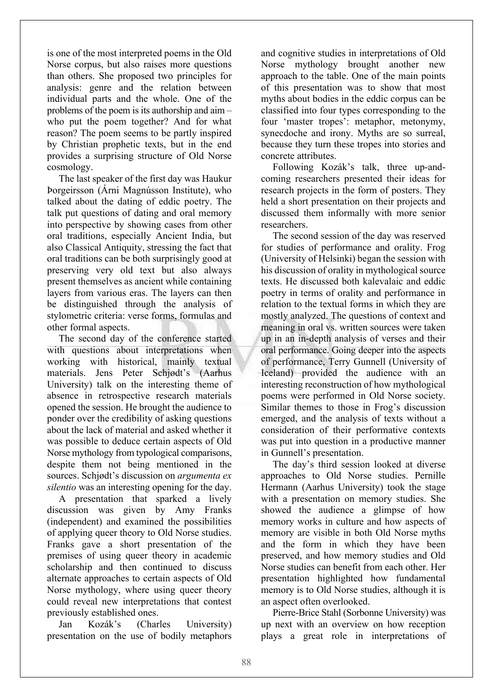is one of the most interpreted poems in the Old Norse corpus, but also raises more questions than others. She proposed two principles for analysis: genre and the relation between individual parts and the whole. One of the problems of the poem is its authorship and aim – who put the poem together? And for what reason? The poem seems to be partly inspired by Christian prophetic texts, but in the end provides a surprising structure of Old Norse cosmology.

The last speaker of the first day was Haukur Þorgeirsson (Árni Magnússon Institute), who talked about the dating of eddic poetry. The talk put questions of dating and oral memory into perspective by showing cases from other oral traditions, especially Ancient India, but also Classical Antiquity, stressing the fact that oral traditions can be both surprisingly good at preserving very old text but also always present themselves as ancient while containing layers from various eras. The layers can then be distinguished through the analysis of stylometric criteria: verse forms, formulas and other formal aspects.

The second day of the conference started with questions about interpretations when working with historical, mainly textual materials. Jens Peter Schjødt's (Aarhus University) talk on the interesting theme of absence in retrospective research materials opened the session. He brought the audience to ponder over the credibility of asking questions about the lack of material and asked whether it was possible to deduce certain aspects of Old Norse mythology from typological comparisons, despite them not being mentioned in the sources. Schjødt's discussion on *argumenta ex silentio* was an interesting opening for the day.

A presentation that sparked a lively discussion was given by Amy Franks (independent) and examined the possibilities of applying queer theory to Old Norse studies. Franks gave a short presentation of the premises of using queer theory in academic scholarship and then continued to discuss alternate approaches to certain aspects of Old Norse mythology, where using queer theory could reveal new interpretations that contest previously established ones.

Jan Kozák's (Charles University) presentation on the use of bodily metaphors and cognitive studies in interpretations of Old Norse mythology brought another new approach to the table. One of the main points of this presentation was to show that most myths about bodies in the eddic corpus can be classified into four types corresponding to the four 'master tropes': metaphor, metonymy, synecdoche and irony. Myths are so surreal, because they turn these tropes into stories and concrete attributes.

Following Kozák's talk, three up-andcoming researchers presented their ideas for research projects in the form of posters. They held a short presentation on their projects and discussed them informally with more senior researchers.

The second session of the day was reserved for studies of performance and orality. Frog (University of Helsinki) began the session with his discussion of orality in mythological source texts. He discussed both kalevalaic and eddic poetry in terms of orality and performance in relation to the textual forms in which they are mostly analyzed. The questions of context and meaning in oral vs. written sources were taken up in an in-depth analysis of verses and their oral performance. Going deeper into the aspects of performance, Terry Gunnell (University of Iceland) provided the audience with an interesting reconstruction of how mythological poems were performed in Old Norse society. Similar themes to those in Frog's discussion emerged, and the analysis of texts without a consideration of their performative contexts was put into question in a productive manner in Gunnell's presentation.

The day's third session looked at diverse approaches to Old Norse studies. Pernille Hermann (Aarhus University) took the stage with a presentation on memory studies. She showed the audience a glimpse of how memory works in culture and how aspects of memory are visible in both Old Norse myths and the form in which they have been preserved, and how memory studies and Old Norse studies can benefit from each other. Her presentation highlighted how fundamental memory is to Old Norse studies, although it is an aspect often overlooked.

Pierre-Brice Stahl (Sorbonne University) was up next with an overview on how reception plays a great role in interpretations of